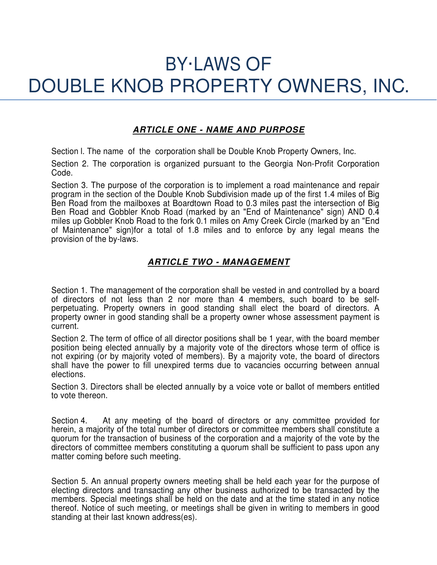# BY·LAWS OF DOUBLE KNOB PROPERTY OWNERS, INC.

## **ARTICLE ONE - NAME AND PURPOSE**

Section l. The name of the corporation shall be Double Knob Property Owners, Inc.

Section 2. The corporation is organized pursuant to the Georgia Non-Profit Corporation Code.

Section 3. The purpose of the corporation is to implement a road maintenance and repair program in the section of the Double Knob Subdivision made up of the first 1.4 miles of Big Ben Road from the mailboxes at Boardtown Road to 0.3 miles past the intersection of Big Ben Road and Gobbler Knob Road (marked by an "End of Maintenance" sign) AND 0.4 miles up Gobbler Knob Road to the fork 0.1 miles on Amy Creek Circle (marked by an "End of Maintenance" sign)for a total of 1.8 miles and to enforce by any legal means the provision of the by-laws.

## **ARTICLE TWO - MANAGEMENT**

Section 1. The management of the corporation shall be vested in and controlled by a board of directors of not less than 2 nor more than 4 members, such board to be selfperpetuating. Property owners in good standing shall elect the board of directors. A property owner in good standing shall be a property owner whose assessment payment is current.

Section 2. The term of office of all director positions shall be 1 year, with the board member position being elected annually by a majority vote of the directors whose term of office is not expiring (or by majority voted of members). By a majority vote, the board of directors shall have the power to fill unexpired terms due to vacancies occurring between annual elections.

Section 3. Directors shall be elected annually by a voice vote or ballot of members entitled to vote thereon.

Section 4. At any meeting of the board of directors or any committee provided for herein, a majority of the total number of directors or committee members shall constitute a quorum for the transaction of business of the corporation and a majority of the vote by the directors of committee members constituting a quorum shall be sufficient to pass upon any matter coming before such meeting.

Section 5. An annual property owners meeting shall be held each year for the purpose of electing directors and transacting any other business authorized to be transacted by the members. Special meetings shall be held on the date and at the time stated in any notice thereof. Notice of such meeting, or meetings shall be given in writing to members in good standing at their last known address(es).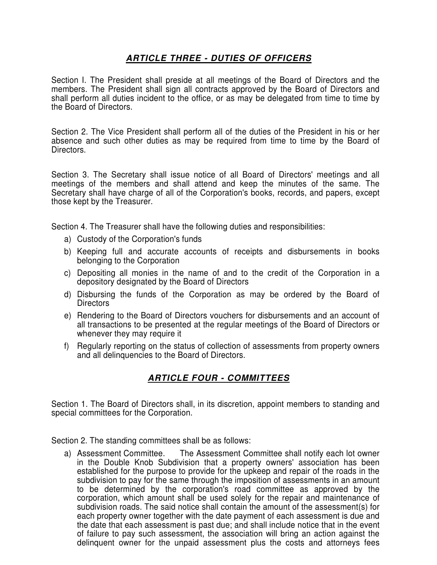## **ARTICLE THREE - DUTIES OF OFFICERS**

Section I. The President shall preside at all meetings of the Board of Directors and the members. The President shall sign all contracts approved by the Board of Directors and shall perform all duties incident to the office, or as may be delegated from time to time by the Board of Directors.

Section 2. The Vice President shall perform all of the duties of the President in his or her absence and such other duties as may be required from time to time by the Board of Directors.

Section 3. The Secretary shall issue notice of all Board of Directors' meetings and all meetings of the members and shall attend and keep the minutes of the same. The Secretary shall have charge of all of the Corporation's books, records, and papers, except those kept by the Treasurer.

Section 4. The Treasurer shall have the following duties and responsibilities:

- a) Custody of the Corporation's funds
- b) Keeping full and accurate accounts of receipts and disbursements in books belonging to the Corporation
- c) Depositing all monies in the name of and to the credit of the Corporation in a depository designated by the Board of Directors
- d) Disbursing the funds of the Corporation as may be ordered by the Board of **Directors**
- e) Rendering to the Board of Directors vouchers for disbursements and an account of all transactions to be presented at the regular meetings of the Board of Directors or whenever they may require it
- f) Regularly reporting on the status of collection of assessments from property owners and all delinquencies to the Board of Directors.

### **ARTICLE FOUR - COMMITTEES**

Section 1. The Board of Directors shall, in its discretion, appoint members to standing and special committees for the Corporation.

Section 2. The standing committees shall be as follows:

a) Assessment Committee. The Assessment Committee shall notify each lot owner in the Double Knob Subdivision that a property owners' association has been established for the purpose to provide for the upkeep and repair of the roads in the subdivision to pay for the same through the imposition of assessments in an amount to be determined by the corporation's road committee as approved by the corporation, which amount shall be used solely for the repair and maintenance of subdivision roads. The said notice shall contain the amount of the assessment(s) for each property owner together with the date payment of each assessment is due and the date that each assessment is past due; and shall include notice that in the event of failure to pay such assessment, the association will bring an action against the delinquent owner for the unpaid assessment plus the costs and attorneys fees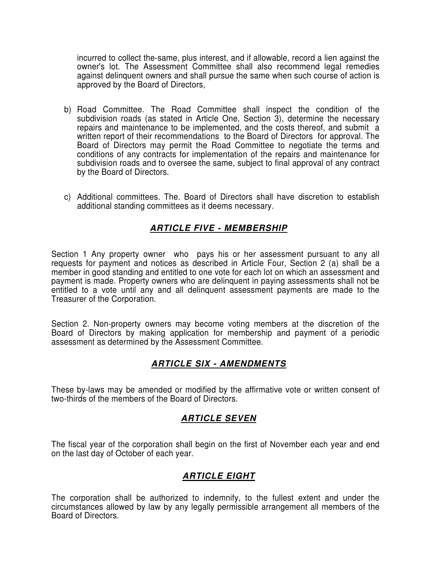incurred to collect the-same, plus interest, and if allowable, record a lien against the owner's lot. The Assessment Committee shall also recommend legal remedies against delinquent owners and shall pursue the same when such course of action is approved by the Board of Directors,

- b) Road Committee. The Road Committee shall inspect the condition of the subdivision roads (as stated in Article One, Section 3), determine the necessary repairs and maintenance to be implemented, and the costs thereof, and submit a written report of their recommendations to the Board of Directors for approval. The Board of Directors may permit the Road Committee to negotiate the terms and conditions of any contracts for implementation of the repairs and maintenance for subdivision roads and to oversee the same, subject to final approval of any contract by the Board of Directors.
- c) Additional committees. The. Board of Directors shall have discretion to establish additional standing committees as it deems necessary.

### **ARTICLE FIVE - MEMBERSHIP**

Section 1 Any property owner who pays his or her assessment pursuant to any all requests for payment and notices as described in Article Four, Section 2 (a) shall be a member in good standing and entitled to one vote for each lot on which an assessment and payment is made. Property owners who are delinquent in paying assessments shall not be entitled to a vote until any and all delinquent assessment payments are made to the Treasurer of the Corporation.

Section 2. Non-property owners may become voting members at the discretion of the Board of Directors by making application for membership and payment of a periodic assessment as determined by the Assessment Committee.

### **ARTICLE SIX - AMENDMENTS**

These by-laws may be amended or modified by the affirmative vote or written consent of two-thirds of the members of the Board of Directors.

#### **ARTICLE SEVEN**

The fiscal year of the corporation shall begin on the first of November each year and end on the last day of October of each year.

### **ARTICLE EIGHT**

The corporation shall be authorized to indemnify, to the fullest extent and under the circumstances allowed by law by any legally permissible arrangement all members of the Board of Directors.